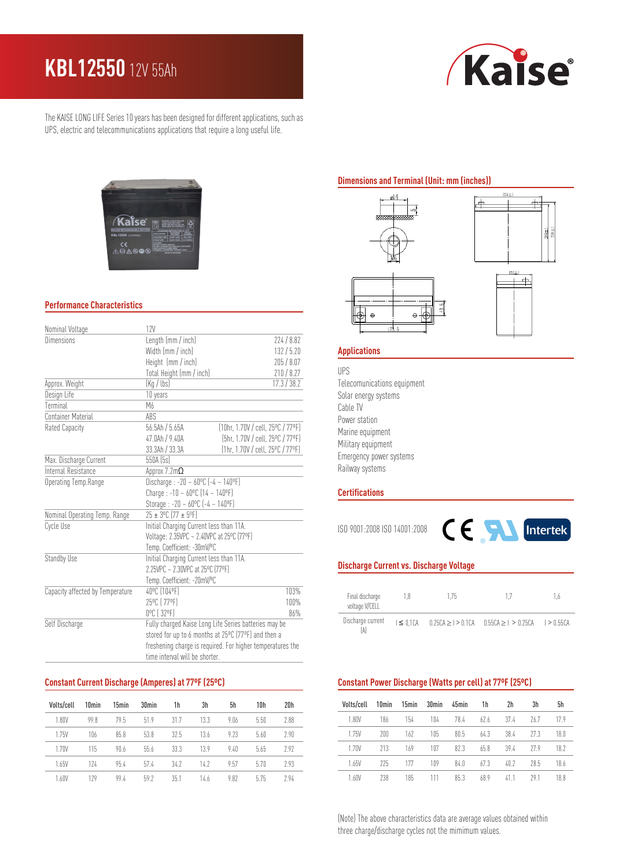# **KBL12550** 12V 55Ah



The KAISE LONG LIFE Series 10 years has been designed for different applications, such as UPS, electric and telecommunications applications that require a long useful life.



### **Performance Characteristics**

| Nominal Voltage                  | 12V                                                                                             |                                   |  |  |  |
|----------------------------------|-------------------------------------------------------------------------------------------------|-----------------------------------|--|--|--|
| <b>Dimensions</b>                | Length (mm / inch)                                                                              | 224/8.82                          |  |  |  |
|                                  | Width (mm / inch)                                                                               | 132/5.20                          |  |  |  |
|                                  | Height (mm / inch)                                                                              | 205/8.07                          |  |  |  |
|                                  | Total Height (mm / inch)                                                                        | 210/8.27                          |  |  |  |
| Approx. Weight                   | (Kq / lbs)                                                                                      | 17.3 / 38.2                       |  |  |  |
| Design Life                      | 10 years                                                                                        |                                   |  |  |  |
| Terminal                         | M6                                                                                              |                                   |  |  |  |
| Container Material               | ABS                                                                                             |                                   |  |  |  |
| Rated Capacity                   | $56.5$ Ah $/ 5.65$ A                                                                            | (10hr, 1.70V / cell, 25°C / 77°F) |  |  |  |
|                                  | 47.0Ah / 9.40A                                                                                  | (5hr, 1.70V / cell, 25°C / 77°F)  |  |  |  |
|                                  | 33.3Ah / 33.3A                                                                                  | (1hr, 1.70V / cell, 25°C / 77°F)  |  |  |  |
| Max. Discharge Current           | 550A (5s)                                                                                       |                                   |  |  |  |
| Internal Resistance              | Approx 7.2m $\Omega$                                                                            |                                   |  |  |  |
| Operating Temp.Range             | Discharge : -20 ~ $60^{\circ}$ C (-4 ~ 140°F)<br>Charge: $-10 - 60^{\circ}C(14 - 140^{\circ}F)$ |                                   |  |  |  |
|                                  |                                                                                                 |                                   |  |  |  |
|                                  | Storage : -20 ~ $60^{\circ}$ C (-4 ~ 140°F)                                                     |                                   |  |  |  |
| Nominal Operating Temp. Range    | 25 ± 3°C (77 ± 5°F)                                                                             |                                   |  |  |  |
| Cycle Use                        | Initial Charging Current less than 11A.                                                         |                                   |  |  |  |
|                                  | Voltage: 2.35VPC ~ 2.40VPC at 25°C (77°F)                                                       |                                   |  |  |  |
|                                  | Temp. Coefficient: -30mV/ºC                                                                     |                                   |  |  |  |
| Standby Use                      | Initial Charging Current less than 11A.                                                         |                                   |  |  |  |
|                                  | 2.25VPC ~ 2.30VPC at 25°C (77°F)                                                                |                                   |  |  |  |
|                                  | Temp. Coefficient: -20mV/ºC                                                                     |                                   |  |  |  |
| Capacity affected by Temperature | 40°C (104°F)                                                                                    | 103%                              |  |  |  |
|                                  | 25°C [ 77°F]                                                                                    | 100%                              |  |  |  |
|                                  | 0°C (32°F)                                                                                      | 86%                               |  |  |  |
| Self Discharge                   | Fully charged Kaise Long Life Series batteries may be                                           |                                   |  |  |  |
|                                  | stored for up to 6 months at 25°C (77°F) and then a                                             |                                   |  |  |  |
|                                  | freshening charge is required. For higher temperatures the                                      |                                   |  |  |  |
|                                  | time interval will be shorter.                                                                  |                                   |  |  |  |

#### **Constant Current Discharge (Amperes) at 77ºF (25ºC)**

| Volts/cell | 10 <sub>min</sub> | 15min | 30min | 1h   | 3h   | 5h   | 10h  | 20h  |
|------------|-------------------|-------|-------|------|------|------|------|------|
| 1.80V      | 99.8              | 79.5  | 51.9  | 31.7 | 13.3 | 9.06 | 5.50 | 2.88 |
| 1.75V      | 106               | 85.8  | 53.8  | 32.5 | 13.6 | 9.23 | 5.60 | 2.90 |
| 1.70V      | 115               | 90.6  | 55.6  | 33.3 | 13.9 | 9.40 | 5.65 | 292  |
| 1.65V      | 174               | 95.4  | 57.4  | 34.2 | 14.7 | 9.57 | 5.70 | 2.93 |
| 1.60V      | 179               | 99.4  | 59 7  | 35.1 | 14.6 | 9.82 | 5.75 | 2.94 |

#### **Dimensions and Terminal (Unit: mm (inches))**



## **Applications**

UPS Telecomunications equipment Solar energy systems Cable TV Power station Marine equipment Military equipment Emergency power systems Railway systems

#### **Certifications**

ISO 9001:2008 ISO 14001:2008



#### **Discharge Current vs. Discharge Voltage**

| Final discharge<br>voltage V/CELL | 1.8 | 175 |                                                                                 | - 6 |  |
|-----------------------------------|-----|-----|---------------------------------------------------------------------------------|-----|--|
| Discharge current                 |     |     | $1 \le 0.1$ CA $0.25$ CA $> 1 > 0.1$ CA $0.55$ CA $> 1 > 0.25$ CA $1 > 0.55$ CA |     |  |

### **Constant Power Discharge (Watts per cell) at 77ºF (25ºC)**

| Volts/cell | 10 <sub>min</sub> | 15min | 30min | 45min | 1h   | 2h   | 3h   | 5h   |
|------------|-------------------|-------|-------|-------|------|------|------|------|
| 1.80V      | 186               | 154   | 104   | 78.4  | 62.6 | 37.4 | 76.7 | 179  |
| 1.75V      | 200               | 162   | 105   | 80.5  | 64.3 | 38.4 | 27 3 | 18.0 |
| 1 7 N V    | 213               | 169   | 107   | 82.3  | 65.8 | 394  | 27 Q | 18.2 |
| 1.65V      | 775               | 177   | 109   | 84.0  | 673  | 40.7 | 28.5 | 18.6 |
| 1.60V      | 238               | 185   |       | 85.3  | 68.9 | 41 1 | 791  | 18 8 |

(Note) The above characteristics data are average values obtained within three charge/discharge cycles not the mimimum values.